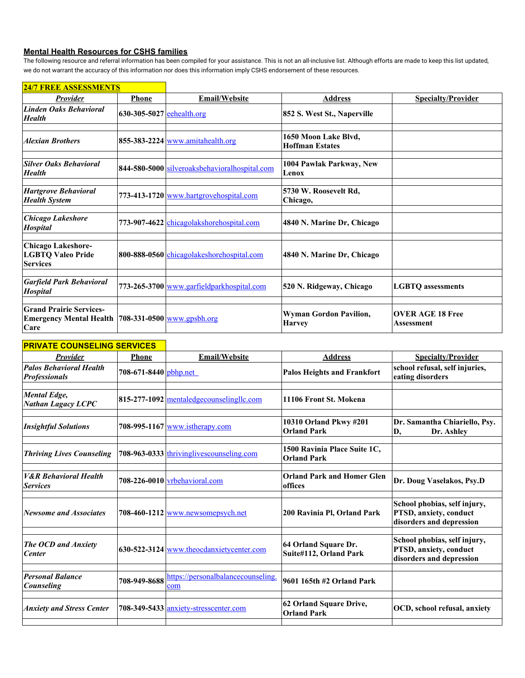## **Mental Health Resources for CSHS families**

The following resource and referral information has been compiled for your assistance. This is not an all-inclusive list. Although efforts are made to keep this list updated, we do not warrant the accuracy of this information nor does this information imply CSHS endorsement of these resources.

| 24/7 FREE ASSESSMENTS                                                                               |                             |                                               |                                                |                                       |
|-----------------------------------------------------------------------------------------------------|-----------------------------|-----------------------------------------------|------------------------------------------------|---------------------------------------|
| <b>Provider</b>                                                                                     | <b>Phone</b>                | <b>Email/Website</b>                          | <b>Address</b>                                 | <b>Specialty/Provider</b>             |
| <b>Linden Oaks Behavioral</b><br><b>Health</b>                                                      | $630-305-5027$ eehealth.org |                                               | 852 S. West St., Naperville                    |                                       |
| <b>Alexian Brothers</b>                                                                             |                             | $855-383-2224$ www.amitahealth.org            | 1650 Moon Lake Blvd,<br><b>Hoffman Estates</b> |                                       |
| <b>Silver Oaks Behavioral</b><br><b>Health</b>                                                      |                             | 844-580-5000 silveroaksbehavioralhospital.com | 1004 Pawlak Parkway, New<br>Lenox              |                                       |
| <b>Hartgrove Behavioral</b><br><b>Health System</b>                                                 |                             | 773-413-1720 www.hartgrovehospital.com        | 5730 W. Roosevelt Rd,<br>Chicago,              |                                       |
| <b>Chicago Lakeshore</b><br><b>Hospital</b>                                                         |                             | 773-907-4622 chicagolakshorehospital.com      | 4840 N. Marine Dr, Chicago                     |                                       |
| <b>Chicago Lakeshore-</b><br><b>LGBTQ Valeo Pride</b><br><b>Services</b>                            |                             | 800-888-0560 chicagolakeshorehospital.com     | 4840 N. Marine Dr, Chicago                     |                                       |
| <b>Garfield Park Behavioral</b><br><b>Hospital</b>                                                  |                             | 773-265-3700 www.garfieldparkhospital.com     | 520 N. Ridgeway, Chicago                       | <b>LGBTQ</b> assessments              |
| <b>Grand Prairie Services-</b><br><b>Emergency Mental Health 708-331-0500 www.gpsbh.org</b><br>Care |                             |                                               | Wyman Gordon Pavilion,<br><b>Harvey</b>        | <b>OVER AGE 18 Free</b><br>Assessment |

## **24/7 FREE ASSESSMENTS**

## **PRIVATE COUNSELING SERVICES Provider Phone Email/Website Address Specialty/Provider** *Palos Behavioral Health*  **Palos Behavioral Health** 708-671-8440 [pbhp.net](http://pbhp.net) **Palos Heights and Frankfort school refusal, self injuries, Professionals eating disorders** *Mental Edge, Nathan Lagacy LCPC* **815-277-1092** [mentaledgecounselingllc.com](http://mentaledgecounselingllc.com) **11106 Front St. Mokena** *Insightful Solutions* **708-995-1167** [www.istherapy.com](http://www.istherapy.com) **10310 Orland Pkwy #201 Orland Park Dr. Samantha Chiariello, Psy. D, Dr. Ashley Anderson, Psy.D** *Thriving Lives Counseling* 708-963-0333 thrivinglives counseling.com 1500 Ravinia Place Suite 1C, **Orland Park** *V&R Behavioral Health*  **708-226-0010** [vrbehavioral.com](http://vrbehavioral.com) **Orland Park and Homer Glen Orland Park and Homer Glen offices Dr. Doug Vaselakos, Psy.D** *Newsome and Associates* **708-460-1212** [www.newsomepsych.net](http://www.newsomepsych.net) **200 Ravinia Pl, Orland Park School phobias, self injury, PTSD, anxiety, conduct disorders and depression** *The OCD and Anxiety Center CCD and Anxiety* **630-522-3124** [www.theocdanxietycenter.com](http://www.theocdanxietycenter.com) **64 Orland Square Dr.** *Center* **64 Orland Par Suite#112, Orland Park School phobias, self injury, PTSD, anxiety, conduct disorders and depression** *Personal Balance*  708-949-8688 [https://personalbalancecounseling.](https://personalbalancecounseling.com) [com](https://personalbalancecounseling.com) **9601 165th #2 Orland Park** *Anxiety and Stress Center* 708-349-5433 [anxiety-stresscenter.com](http://anxiety-stresscenter.com) 62 Orland Square Drive, **OCD, school refusal, anxiety**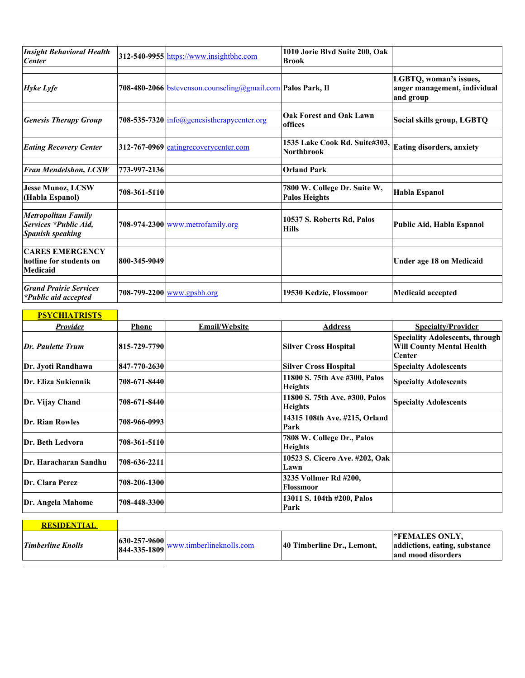| <b>Insight Behavioral Health</b><br><b>Center</b>                              |              | 312-540-9955 https://www.insightbhc.com                     | 1010 Jorie Blvd Suite 200, Oak<br><b>Brook</b>       |                                                                     |
|--------------------------------------------------------------------------------|--------------|-------------------------------------------------------------|------------------------------------------------------|---------------------------------------------------------------------|
| <b>Hyke Lyfe</b>                                                               |              | 708-480-2066 bstevenson.counseling@gmail.com Palos Park, II |                                                      | LGBTQ, woman's issues,<br>anger management, individual<br>and group |
| <b>Genesis Therapy Group</b>                                                   |              | 708-535-7320 info@genesistherapycenter.org                  | <b>Oak Forest and Oak Lawn</b><br>offices            | Social skills group, LGBTQ                                          |
| <b>Eating Recovery Center</b>                                                  |              | $312-767-0969$ eating recovery center com                   | 1535 Lake Cook Rd. Suite#303,<br><b>Northbrook</b>   | Eating disorders, anxiety                                           |
| Fran Mendelshon, LCSW                                                          | 773-997-2136 |                                                             | <b>Orland Park</b>                                   |                                                                     |
| <b>Jesse Munoz, LCSW</b><br>(Habla Espanol)                                    | 708-361-5110 |                                                             | 7800 W. College Dr. Suite W,<br><b>Palos Heights</b> | <b>Habla Espanol</b>                                                |
| <b>Metropolitan Family</b><br>Services *Public Aid,<br><b>Spanish speaking</b> |              | 708-974-2300 www.metrofamily.org                            | 10537 S. Roberts Rd, Palos<br><b>Hills</b>           | Public Aid, Habla Espanol                                           |
| <b>CARES EMERGENCY</b><br>hotline for students on<br><b>Medicaid</b>           | 800-345-9049 |                                                             |                                                      | <b>Under age 18 on Medicaid</b>                                     |
| <b>Grand Prairie Services</b><br><i>*Public aid accepted</i>                   |              | 708-799-2200 <u>www.gpsbh.org</u>                           | 19530 Kedzie, Flossmoor                              | <b>Medicaid accepted</b>                                            |

| <b>PSYCHIATRISTS</b>   |              |                      |                                                  |                                                                                      |
|------------------------|--------------|----------------------|--------------------------------------------------|--------------------------------------------------------------------------------------|
| <b>Provider</b>        | <b>Phone</b> | <b>Email/Website</b> | <b>Address</b>                                   | <b>Specialty/Provider</b>                                                            |
| Dr. Paulette Trum      | 815-729-7790 |                      | <b>Silver Cross Hospital</b>                     | <b>Speciality Adolescents, through</b><br><b>Will County Mental Health</b><br>Center |
| Dr. Jyoti Randhawa     | 847-770-2630 |                      | <b>Silver Cross Hospital</b>                     | <b>Specialty Adolescents</b>                                                         |
| Dr. Eliza Sukiennik    | 708-671-8440 |                      | 11800 S. 75th Ave #300, Palos<br><b>Heights</b>  | <b>Specialty Adolescents</b>                                                         |
| Dr. Vijay Chand        | 708-671-8440 |                      | 11800 S. 75th Ave. #300, Palos<br><b>Heights</b> | <b>Specialty Adolescents</b>                                                         |
| <b>Dr. Rian Rowles</b> | 708-966-0993 |                      | 14315 108th Ave. #215, Orland<br>Park            |                                                                                      |
| Dr. Beth Ledvora       | 708-361-5110 |                      | 7808 W. College Dr., Palos<br><b>Heights</b>     |                                                                                      |
| Dr. Haracharan Sandhu  | 708-636-2211 |                      | 10523 S. Cicero Ave. #202, Oak<br>Lawn           |                                                                                      |
| Dr. Clara Perez        | 708-206-1300 |                      | 3235 Vollmer Rd #200,<br><b>Flossmoor</b>        |                                                                                      |
| Dr. Angela Mahome      | 708-448-3300 |                      | 13011 S. 104th #200, Palos<br>Park               |                                                                                      |

| <b>RESIDENTIAL</b>       |                                      |                          |                            |                                                                               |
|--------------------------|--------------------------------------|--------------------------|----------------------------|-------------------------------------------------------------------------------|
| <b>Timberline Knolls</b> | $ 630 - 257 - 9600 $<br>844-335-1809 | www.timberlineknolls.com | 40 Timberline Dr., Lemont. | <b>EXPENALES ONLY,</b><br>addictions, eating, substance<br>and mood disorders |

 $\overline{\phantom{a}}$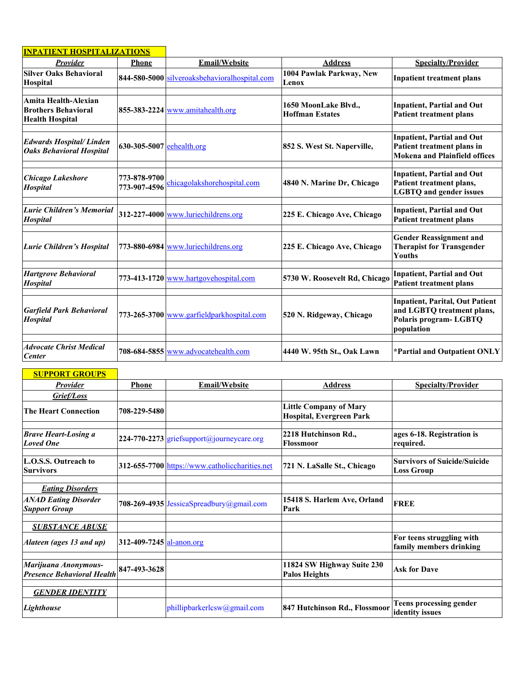| <b>INPATIENT HOSPITALIZATIONS</b>                                            |                              |                                               |                                                |                                                                                                             |
|------------------------------------------------------------------------------|------------------------------|-----------------------------------------------|------------------------------------------------|-------------------------------------------------------------------------------------------------------------|
| <b>Provider</b>                                                              | <b>Phone</b>                 | <b>Email/Website</b>                          | <b>Address</b>                                 | <b>Specialty/Provider</b>                                                                                   |
| <b>Silver Oaks Behavioral</b><br>Hospital                                    |                              | 844-580-5000 silveroaksbehavioralhospital.com | 1004 Pawlak Parkway, New<br>Lenox              | <b>Inpatient treatment plans</b>                                                                            |
| Amita Health-Alexian<br><b>Brothers Behavioral</b><br><b>Health Hospital</b> |                              | $855-383-2224$ www.amitahealth.org            | 1650 MoonLake Blvd.,<br><b>Hoffman Estates</b> | <b>Inpatient, Partial and Out</b><br><b>Patient treatment plans</b>                                         |
| <b>Edwards Hospital/Linden</b><br><b>Oaks Behavioral Hospital</b>            | 630-305-5007 eehealth.org    |                                               | 852 S. West St. Naperville,                    | <b>Inpatient, Partial and Out</b><br>Patient treatment plans in<br><b>Mokena and Plainfield offices</b>     |
| <b>Chicago Lakeshore</b><br>Hospital                                         | 773-878-9700<br>773-907-4596 | chicagolakshorehospital.com                   | 4840 N. Marine Dr, Chicago                     | <b>Inpatient, Partial and Out</b><br>Patient treatment plans,<br><b>LGBTQ</b> and gender issues             |
| Lurie Children's Memorial<br><b>Hospital</b>                                 |                              | $312-227-4000$ www.luriechildrens.org         | 225 E. Chicago Ave, Chicago                    | <b>Inpatient, Partial and Out</b><br><b>Patient treatment plans</b>                                         |
| <b>Lurie Children's Hospital</b>                                             |                              | 773-880-6984 www.luriechildrens.org           | 225 E. Chicago Ave, Chicago                    | <b>Gender Reassignment and</b><br><b>Therapist for Transgender</b><br><b>Youths</b>                         |
| <b>Hartgrove Behavioral</b><br>Hospital                                      |                              | 773-413-1720 www.hartgovehospital.com         | 5730 W. Roosevelt Rd, Chicago                  | <b>Inpatient, Partial and Out</b><br><b>Patient treatment plans</b>                                         |
| <b>Garfield Park Behavioral</b><br>Hospital                                  |                              | 773-265-3700 www.garfieldparkhospital.com     | 520 N. Ridgeway, Chicago                       | <b>Inpatient, Parital, Out Patient</b><br>and LGBTQ treatment plans,<br>Polaris program-LGBTQ<br>population |
| <b>Advocate Christ Medical</b><br><b>Center</b>                              |                              | 708-684-5855 www.advocatehealth.com           | 4440 W. 95th St., Oak Lawn                     | *Partial and Outpatient ONLY                                                                                |

| <b>SUPPORT GROUPS</b>                                     |                          |                                                |                                                                  |                                                          |
|-----------------------------------------------------------|--------------------------|------------------------------------------------|------------------------------------------------------------------|----------------------------------------------------------|
| <b>Provider</b>                                           | <b>Phone</b>             | <b>Email/Website</b>                           | <b>Address</b>                                                   | <b>Specialty/Provider</b>                                |
| Grief/Loss                                                |                          |                                                |                                                                  |                                                          |
| The Heart Connection                                      | 708-229-5480             |                                                | <b>Little Company of Mary</b><br><b>Hospital, Evergreen Park</b> |                                                          |
| <b>Brave Heart-Losing a</b><br><b>Loved One</b>           |                          | $ 224-770-2273 $ griefsupport@journeycare.org  | 2218 Hutchinson Rd.,<br>Flossmoor                                | ages 6-18. Registration is<br>required.                  |
| L.O.S.S. Outreach to<br><b>Survivors</b>                  |                          | 312-655-7700 https://www.catholiccharities.net | 721 N. LaSalle St., Chicago                                      | <b>Survivors of Suicide/Suicide</b><br><b>Loss Group</b> |
| <b>Eating Disorders</b>                                   |                          |                                                |                                                                  |                                                          |
| <b>ANAD Eating Disorder</b><br><b>Support Group</b>       |                          | 708-269-4935 JessicaSpreadbury@gmail.com       | 15418 S. Harlem Ave, Orland<br>Park                              | <b>FREE</b>                                              |
| <i><b>SUBSTANCE ABUSE</b></i>                             |                          |                                                |                                                                  |                                                          |
| Alateen (ages 13 and up)                                  | 312-409-7245 al-anon.org |                                                |                                                                  | For teens struggling with<br>family members drinking     |
| Marijuana Anonymous-<br><b>Presence Behavioral Health</b> | 847-493-3628             |                                                | 11824 SW Highway Suite 230<br><b>Palos Heights</b>               | <b>Ask for Dave</b>                                      |
|                                                           |                          |                                                |                                                                  |                                                          |
| <b>GENDER IDENTITY</b>                                    |                          |                                                |                                                                  |                                                          |
| Lighthouse                                                |                          | phillipbarkerlcsw@gmail.com                    | 847 Hutchinson Rd., Flossmoor                                    | <b>Teens processing gender</b><br>identity issues        |